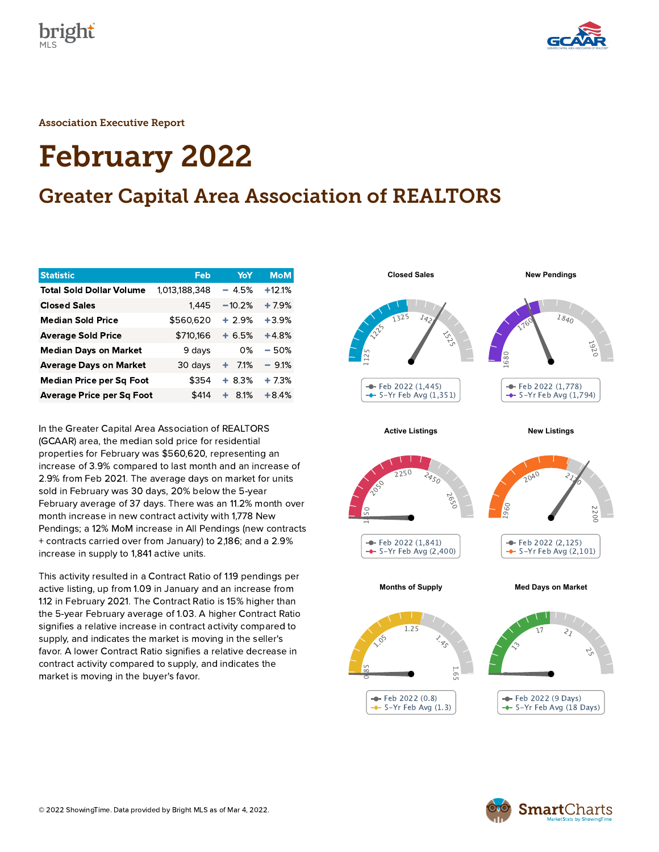



Association Executive Report

# February 2022

# Greater Capital Area Association of REALTORS

| <b>Statistic</b>                 | Feb           | YoY       | <b>MoM</b> |
|----------------------------------|---------------|-----------|------------|
| <b>Total Sold Dollar Volume</b>  | 1.013.188.348 | $-4.5%$   | $+12.1%$   |
| <b>Closed Sales</b>              | 1,445         | $-10.2%$  | $+7.9%$    |
| <b>Median Sold Price</b>         | \$560,620     | $+2.9%$   | $+3.9%$    |
| <b>Average Sold Price</b>        | \$710,166     | $+6.5%$   | $+4.8%$    |
| <b>Median Days on Market</b>     | 9 days        | 0%        | - 50%      |
| <b>Average Days on Market</b>    | 30 days       | 7.1%<br>٠ | $-9.1%$    |
| Median Price per Sq Foot         | \$354         | $+8.3%$   | $+7.3%$    |
| <b>Average Price per Sq Foot</b> | \$414         | 8.1%<br>٠ | $+8.4%$    |

In the Greater Capital Area Association of REALTORS (GCAAR) area, the median sold price for residential properties for February was \$560,620, representing an increase of 3.9% compared to last month and an increase of 2.9% from Feb 2021. The average days on market for units sold in February was 30 days, 20% below the 5-year February average of 37 days. There was an 11.2% month over month increase in new contract activity with 1,778 New Pendings; a 12% MoM increase in All Pendings (new contracts + contracts carried over from January) to 2,186; and a 2.9% increase in supply to 1,841 active units.

This activity resulted in a Contract Ratio of 1.19 pendings per active listing, up from 1.09 in January and an increase from 1.12 in February 2021. The Contract Ratio is 15% higher than the 5-year February average of 1.03. A higher Contract Ratio signifies a relative increase in contract activity compared to supply, and indicates the market is moving in the seller's favor. A lower Contract Ratio signifies a relative decrease in contract activity compared to supply, and indicates the market is moving in the buyer's favor.



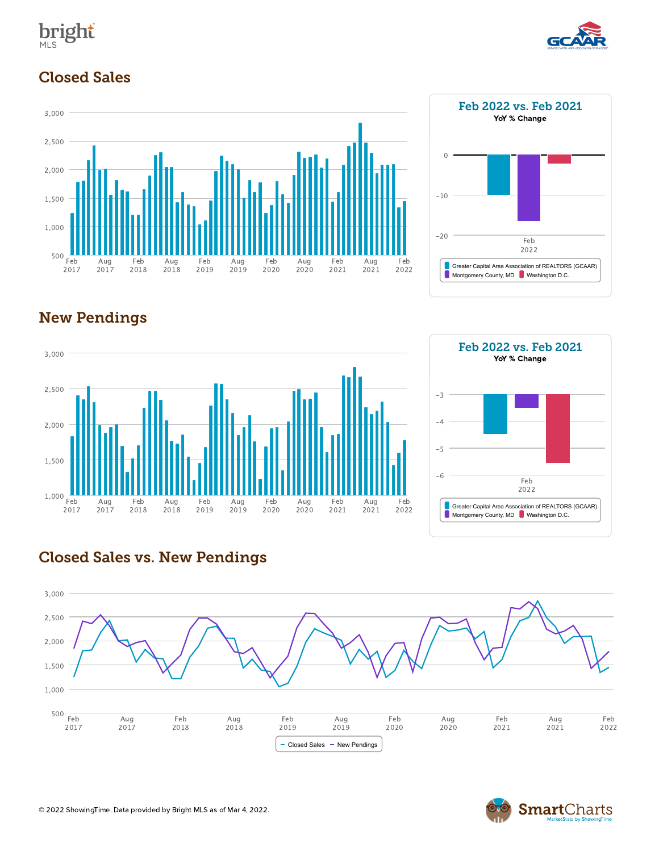



# Closed Sales











## Closed Sales vs. New Pendings



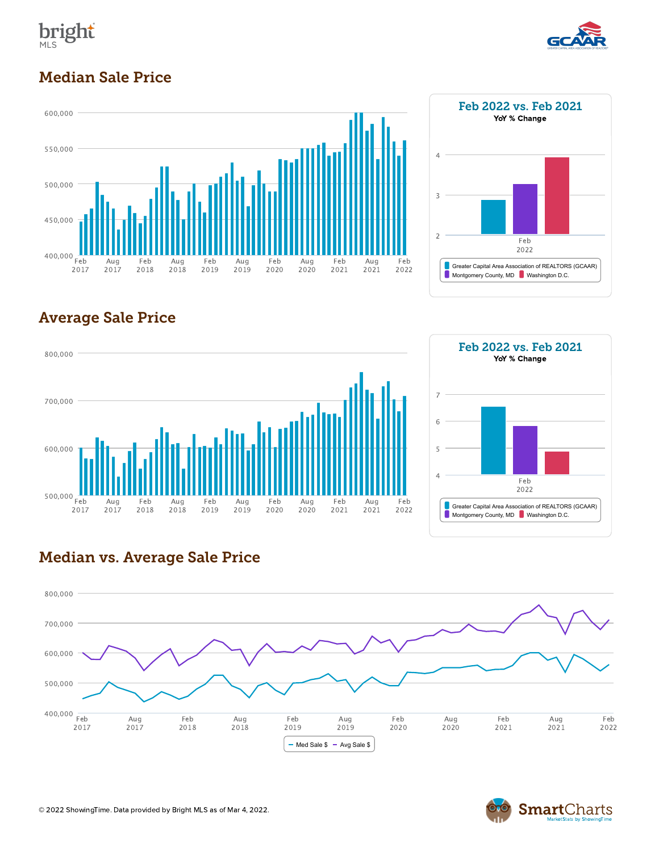



## Median Sale Price





# Average Sale Price





#### Median vs. Average Sale Price